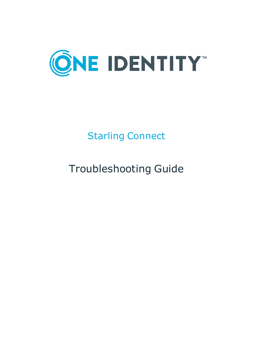

# Starling Connect

# Troubleshooting Guide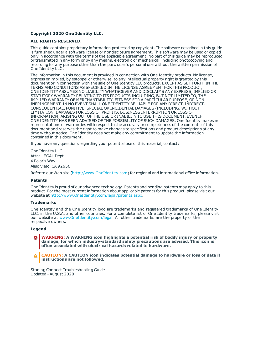#### **Copyright 2020 One Identity LLC.**

#### **ALL RIGHTS RESERVED.**

This guide contains proprietary information protected by copyright. The software described in this guide is furnished under a software license or nondisclosure agreement. This software may be used or copied only in accordance with the terms of the applicable agreement. No part of this guide may be reproduced or transmitted in any form or by any means, electronic or mechanical, including photocopying and recording for any purpose other than the purchaser's personal use without the written permission of One Identity LLC .

The information in this document is provided in connection with One Identity products. No license, express or implied, by estoppel or otherwise, to any intellectual property right is granted by this document or in connection with the sale of One Identity LLC products. EXCEPT AS SET FORTH IN THE TERMS AND CONDITIONS AS SPECIFIED IN THE LICENSE AGREEMENT FOR THIS PRODUCT, ONE IDENTITY ASSUMES NO LIABILITY WHATSOEVER AND DISCLAIMS ANY EXPRESS, IMPLIED OR STATUTORY WARRANTY RELATING TO ITS PRODUCTS INCLUDING, BUT NOT LIMITED TO, THE IMPLIED WARRANTY OF MERCHANTABILITY, FITNESS FOR A PARTICULAR PURPOSE, OR NON-INFRINGEMENT. IN NO EVENT SHALL ONE IDENTITY BE LIABLE FOR ANY DIRECT, INDIRECT, CONSEQUENTIAL, PUNITIVE, SPECIAL OR INCIDENTAL DAMAGES (INCLUDING, WITHOUT LIMITATION, DAMAGES FOR LOSS OF PROFITS, BUSINESS INTERRUPTION OR LOSS OF INFORMATION) ARISING OUT OF THE USE OR INABILITY TO USE THIS DOCUMENT, EVEN IF ONE IDENTITY HAS BEEN ADVISED OF THE POSSIBILITY OF SUCH DAMAGES. One Identity makes no representations or warranties with respect to the accuracy or completeness of the contents of this document and reserves the right to make changes to specifications and product descriptions at any time without notice. One Identity does not make any commitment to update the information contained in this document.

If you have any questions regarding your potential use of this material, contact:

One Identity LLC. Attn: LEGAL Dept 4 Polaris Way Aliso Viejo, CA 92656

Refer to our Web site ([http://www.OneIdentity.com](http://www.oneidentity.com/)) for regional and international office information.

#### **Patents**

One Identity is proud of our advanced technology. Patents and pending patents may apply to this product. For the most current information about applicable patents for this product, please visit our website at [http://www.OneIdentity.com/legal/patents.aspx](http://www.oneidentity.com/legal/patents.aspx).

#### **Trademarks**

One Identity and the One Identity logo are trademarks and registered trademarks of One Identity LLC. in the U.S.A. and other countries. For a complete list of One Identity trademarks, please visit our website at [www.OneIdentity.com/legal](http://www.oneidentity.com/legal). All other trademarks are the property of their respective owners.

#### **Legend**

**WARNING: A WARNING icon highlights a potential risk of bodily injury or property damage, for which industry-standard safety precautions are advised. This icon is often associated with electrical hazards related to hardware.**

**CAUTION: A CAUTION icon indicates potential damage to hardware or loss of data if** A **instructions are not followed.**

Starling Connect Troubleshooting Guide Updated - August 2020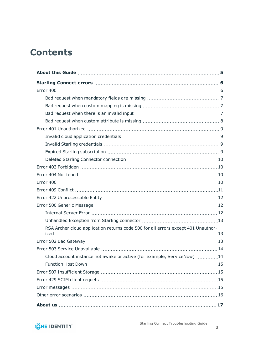## **Contents**

| RSA Archer cloud application returns code 500 for all errors except 401 Unauthor- |  |
|-----------------------------------------------------------------------------------|--|
|                                                                                   |  |
|                                                                                   |  |
|                                                                                   |  |
| Cloud account instance not awake or active (for example, ServiceNow) 14           |  |
|                                                                                   |  |
|                                                                                   |  |
|                                                                                   |  |
|                                                                                   |  |
|                                                                                   |  |
|                                                                                   |  |

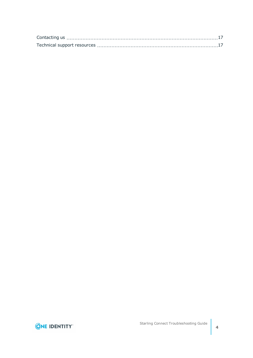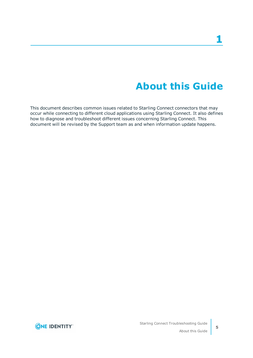## **About this Guide**

<span id="page-4-0"></span>This document describes common issues related to Starling Connect connectors that may occur while connecting to different cloud applications using Starling Connect. It also defines how to diagnose and troubleshoot different issues concerning Starling Connect. This document will be revised by the Support team as and when information update happens.

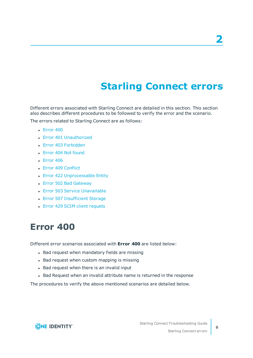## **Starling Connect errors**

<span id="page-5-0"></span>Different errors associated with Starling Connect are detailed in this section. This section also describes different procedures to be followed to verify the error and the scenario.

The errors related to Starling Connect are as follows:

- $\cdot$  [Error](#page-5-1) 400
- Error 401 [Unauthorized](#page-8-0)
- Error 403 [Forbidden](#page-9-1)
- Error 404 Not [found](#page-9-2)
- $\cdot$  [Error](#page-9-3) 406
- Error 409 [Conflict](#page-10-0)
- Error 422 [Unprocessable](#page-11-0) Entity
- Error 502 Bad [Gateway](#page-12-2)
- Error 503 Service [Unavailable](#page-13-0)
- Error 507 [Insufficient](#page-14-1) Storage
- <span id="page-5-1"></span>• Error 429 SCIM client [requets](#page-14-2)

### **Error 400**

Different error scenarios associated with **Error 400** are listed below:

- Bad request when mandatory fields are missing
- Bad request when custom mapping is missing
- Bad request when there is an invalid input
- Bad Request when an invalid attribute name is returned in the response

The procedures to verify the above mentioned scenarios are detailed below.

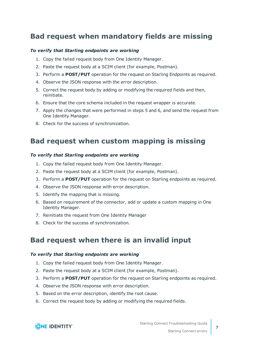### <span id="page-6-0"></span>**Bad request when mandatory fields are missing**

#### *To verify that Starling endpoints are working*

- 1. Copy the failed request body from One Identity Manager.
- 2. Paste the request body at a SCIM client (for example, Postman).
- 3. Perform a **POST/PUT** operation for the request on Starling Endpoints as required.
- 4. Observe the JSON response with the error description.
- 5. Correct the request body by adding or modifying the required fields and then, reinitiate.
- 6. Ensure that the core schema included in the request wrapper is accurate.
- 7. Apply the changes that were performed in steps 5 and 6, and send the request from One Identity Manager.
- <span id="page-6-1"></span>8. Check for the success of synchronization.

### **Bad request when custom mapping is missing**

#### *To verify that Starling endpoints are working*

- 1. Copy the failed request body from One Identity Manager.
- 2. Paste the request body at a SCIM client (for example, Postman).
- 3. Perform a **POST/PUT** operation for the request on Starling endpoints as required.
- 4. Observe the JSON response with error description.
- 5. Identify the mapping that is missing.
- 6. Based on requirement of the connector, add or update a custom mapping in One Identity Manager.
- 7. Reinitiate the request from One Identity Manager
- <span id="page-6-2"></span>8. Check for the success of synchronization.

### **Bad request when there is an invalid input**

#### *To verify that Starling endpoints are working*

- 1. Copy the failed request body from One Identity Manager.
- 2. Paste the request body at a SCIM client (for example, Postman).
- 3. Perform a **POST/PUT** operation for the request on Starling endpoints as required.
- 4. Observe the JSON response with error description.
- 5. Based on the error description, identify the root cause.
- 6. Correct the request body by adding or modifying the required fields.

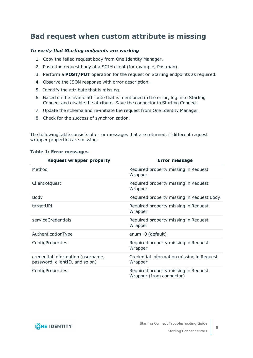### <span id="page-7-0"></span>**Bad request when custom attribute is missing**

#### *To verify that Starling endpoints are working*

- 1. Copy the failed request body from One Identity Manager.
- 2. Paste the request body at a SCIM client (for example, Postman).
- 3. Perform a **POST/PUT** operation for the request on Starling endpoints as required.
- 4. Observe the JSON response with error description.
- 5. Identify the attribute that is missing.
- 6. Based on the invalid attribute that is mentioned in the error, log in to Starling Connect and disable the attribute. Save the connector in Starling Connect.
- 7. Update the schema and re-initiate the request from One Identity Manager.
- 8. Check for the success of synchronization.

The following table consists of error messages that are returned, if different request wrapper properties are missing.

| <b>Request wrapper property</b>                                     | <b>Error message</b>                                             |
|---------------------------------------------------------------------|------------------------------------------------------------------|
| Method                                                              | Required property missing in Request<br>Wrapper                  |
| ClientRequest                                                       | Required property missing in Request<br>Wrapper                  |
| <b>Body</b>                                                         | Required property missing in Request Body                        |
| targetURi                                                           | Required property missing in Request<br>Wrapper                  |
| serviceCredentials                                                  | Required property missing in Request<br>Wrapper                  |
| AuthenticationType                                                  | enum -0 (default)                                                |
| ConfigProperties                                                    | Required property missing in Request<br>Wrapper                  |
| credential information (username,<br>password, clientID, and so on) | Credential information missing in Request<br>Wrapper             |
| ConfigProperties                                                    | Required property missing in Request<br>Wrapper (from connector) |

#### **Table 1: Error messages**



**8**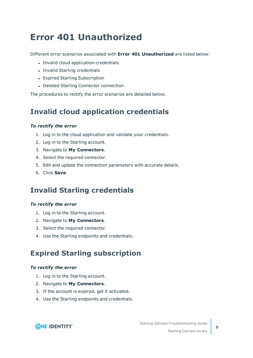## <span id="page-8-0"></span>**Error 401 Unauthorized**

Different error scenarios associated with **Error 401 Unauthorized** are listed below:

- Invalid cloud application credentials
- Invalid Starling credentials
- Expired Starling Subscription
- Deleted Starling Connector connection

<span id="page-8-1"></span>The procedures to rectify the error scenarios are detailed below.

### **Invalid cloud application credentials**

#### *To rectify the error*

- 1. Log in to the cloud application and validate your credentials.
- 2. Log in to the Starling account.
- 3. Navigate to **My Connectors**.
- 4. Select the required connector.
- 5. Edit and update the connection parameters with accurate details.
- <span id="page-8-2"></span>6. Click **Save**.

### **Invalid Starling credentials**

#### *To rectify the error*

- 1. Log in to the Starling account.
- 2. Navigate to **My Connectors**.
- 3. Select the required connector.
- <span id="page-8-3"></span>4. Use the Starling endpoints and credentials.

### **Expired Starling subscription**

#### *To rectify the error*

- 1. Log in to the Starling account.
- 2. Navigate to **My Connectors**.
- 3. If the account is expired, get it activated.
- 4. Use the Starling endpoints and credentials.

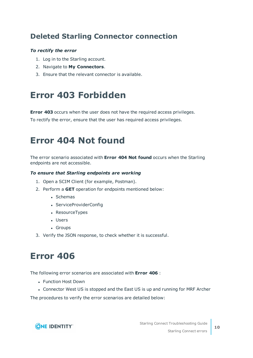### <span id="page-9-0"></span>**Deleted Starling Connector connection**

#### *To rectify the error*

- 1. Log in to the Starling account.
- 2. Navigate to **My Connectors**.
- <span id="page-9-1"></span>3. Ensure that the relevant connector is available.

## **Error 403 Forbidden**

**Error 403** occurs when the user does not have the required access privileges.

<span id="page-9-2"></span>To rectify the error, ensure that the user has required access privileges.

## **Error 404 Not found**

The error scenario associated with **Error 404 Not found** occurs when the Starling endpoints are not accessible.

#### *To ensure that Starling endpoints are working*

- 1. Open a SCIM Client (for example, Postman).
- 2. Perform a **GET** operation for endpoints mentioned below:
	- Schemas
	- ServiceProviderConfig
	- ResourceTypes
	- Users
	- Groups
- <span id="page-9-3"></span>3. Verify the JSON response, to check whether it is successful.

## **Error 406**

The following error scenarios are associated with **Error 406** :

- Function Host Down
- Connector West US is stopped and the East US is up and running for MRF Archer

The procedures to verify the error scenarios are detailed below:

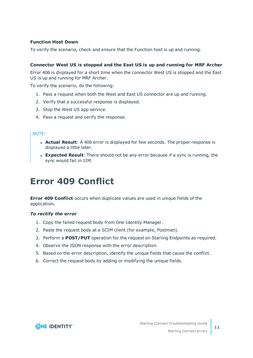#### **Function Host Down**

To verify the scenario, check and ensure that the Function host is up and running.

#### **Connector West US is stopped and the East US is up and running for MRF Archer**

Error 406 is displayed for a short time when the connector West US is stopped and the East US is up and running for MRF Archer.

To verify the scenario, do the following:

- 1. Pass a request when both the West and East US connector are up and running.
- 2. Verify that a successful response is displayed.
- 3. Stop the West US app service.
- 4. Pass a request and verify the response.

#### NOTE:

- **Actual Result**: A 406 error is displayed for few seconds. The proper response is displayed a little later.
- **Expected Result**: There should not be any error because if a sync is running, the sync would fail in 1IM.

## <span id="page-10-0"></span>**Error 409 Conflict**

**Error 409 Conflict** occurs when duplicate values are used in unique fields of the application**.**

#### *To rectify the error*

- 1. Copy the failed request body from One Identity Manager.
- 2. Paste the request body at a SCIM client (for example, Postman).
- 3. Perform a **POST/PUT** operation for the request on Starling Endpoints as required.
- 4. Observe the JSON response with the error description.
- 5. Based on the error description, identify the unique fields that cause the conflict.
- 6. Correct the request body by adding or modifying the unique fields.

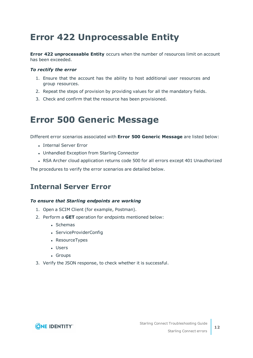## <span id="page-11-0"></span>**Error 422 Unprocessable Entity**

**Error 422 unprocessable Entity** occurs when the number of resources limit on account has been exceeded.

#### *To rectify the error*

- 1. Ensure that the account has the ability to host additional user resources and group resources.
- 2. Repeat the steps of provision by providing values for all the mandatory fields.
- <span id="page-11-1"></span>3. Check and confirm that the resource has been provisioned.

### **Error 500 Generic Message**

Different error scenarios associated with **Error 500 Generic Message** are listed below:

- Internal Server Error
- Unhandled Exception from Starling Connector
- RSA Archer cloud application returns code 500 for all errors except 401 Unauthorized

<span id="page-11-2"></span>The procedures to verify the error scenarios are detailed below.

### **Internal Server Error**

#### *To ensure that Starling endpoints are working*

- 1. Open a SCIM Client (for example, Postman).
- 2. Perform a **GET** operation for endpoints mentioned below:
	- Schemas
	- ServiceProviderConfig
	- ResourceTypes
	- Users
	- Groups
- 3. Verify the JSON response, to check whether it is successful.

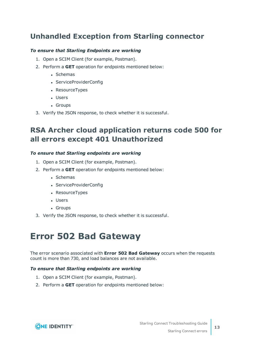### <span id="page-12-0"></span>**Unhandled Exception from Starling connector**

#### *To ensure that Starling Endpoints are working*

- 1. Open a SCIM Client (for example, Postman).
- 2. Perform a **GET** operation for endpoints mentioned below:
	- Schemas
	- ServiceProviderConfig
	- ResourceTypes
	- Users
	- Groups
- <span id="page-12-1"></span>3. Verify the JSON response, to check whether it is successful.

### **RSA Archer cloud application returns code 500 for all errors except 401 Unauthorized**

#### *To ensure that Starling endpoints are working*

- 1. Open a SCIM Client (for example, Postman).
- 2. Perform a **GET** operation for endpoints mentioned below:
	- Schemas
	- ServiceProviderConfig
	- ResourceTypes
	- Users
	- Groups
- <span id="page-12-2"></span>3. Verify the JSON response, to check whether it is successful.

## **Error 502 Bad Gateway**

The error scenario associated with **Error 502 Bad Gateway** occurs when the requests count is more than 730, and load balances are not available.

#### *To ensure that Starling endpoints are working*

- 1. Open a SCIM Client (for example, Postman).
- 2. Perform a **GET** operation for endpoints mentioned below:

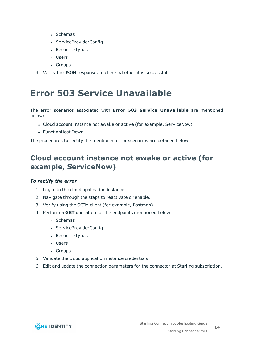- Schemas
- ServiceProviderConfig
- ResourceTypes
- Users
- Groups
- <span id="page-13-0"></span>3. Verify the JSON response, to check whether it is successful.

### **Error 503 Service Unavailable**

The error scenarios associated with **Error 503 Service Unavailable** are mentioned below:

- Cloud account instance not awake or active (for example, ServiceNow)
- FunctionHost Down

<span id="page-13-1"></span>The procedures to rectify the mentioned error scenarios are detailed below.

### **Cloud account instance not awake or active (for example, ServiceNow)**

#### *To rectify the error*

- 1. Log in to the cloud application instance.
- 2. Navigate through the steps to reactivate or enable.
- 3. Verify using the SCIM client (for example, Postman).
- 4. Perform a **GET** operation for the endpoints mentioned below:
	- Schemas
	- ServiceProviderConfig
	- ResourceTypes
	- Users
	- Groups
- 5. Validate the cloud application instance credentials.
- 6. Edit and update the connection parameters for the connector at Starling subscription.

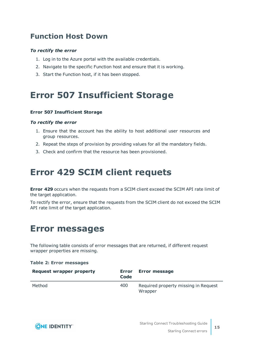### <span id="page-14-0"></span>**Function Host Down**

#### *To rectify the error*

- 1. Log in to the Azure portal with the available credentials.
- 2. Navigate to the specific Function host and ensure that it is working.
- <span id="page-14-1"></span>3. Start the Function host, if it has been stopped.

## **Error 507 Insufficient Storage**

#### **Error 507 Insufficient Storage**

#### *To rectify the error*

- 1. Ensure that the account has the ability to host additional user resources and group resources.
- 2. Repeat the steps of provision by providing values for all the mandatory fields.
- <span id="page-14-2"></span>3. Check and confirm that the resource has been provisioned.

## **Error 429 SCIM client requets**

**Error 429** occurs when the requests from a SCIM client exceed the SCIM API rate limit of the target application.

To rectify the error, ensure that the requests from the SCIM client do not exceed the SCIM API rate limit of the target application.

### <span id="page-14-3"></span>**Error messages**

The following table consists of error messages that are returned, if different request wrapper properties are missing.

#### **Table 2: Error messages**

| <b>Request wrapper property</b> | Error<br>Code | <b>Error message</b>                            |
|---------------------------------|---------------|-------------------------------------------------|
| Method                          | 400           | Required property missing in Request<br>Wrapper |

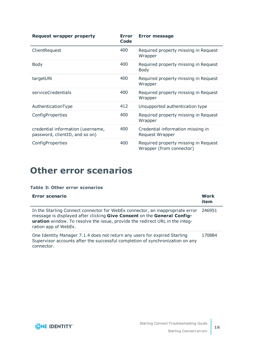| <b>Request wrapper property</b>                                     | <b>Error</b><br>Code | <b>Error message</b>                                             |
|---------------------------------------------------------------------|----------------------|------------------------------------------------------------------|
| ClientRequest                                                       | 400                  | Required property missing in Request<br>Wrapper                  |
| Body                                                                | 400                  | Required property missing in Request<br><b>Body</b>              |
| targetURi                                                           | 400                  | Required property missing in Request<br>Wrapper                  |
| serviceCredentials                                                  | 400                  | Required property missing in Request<br>Wrapper                  |
| AuthenticationType                                                  | 412                  | Unsupported authentication type                                  |
| ConfigProperties                                                    | 400                  | Required property missing in Request<br>Wrapper                  |
| credential information (username,<br>password, clientID, and so on) | 400                  | Credential information missing in<br>Request Wrapper             |
| ConfigProperties                                                    | 400                  | Required property missing in Request<br>Wrapper (from connector) |

## <span id="page-15-0"></span>**Other error scenarios**

#### **Table 3: Other error scenarios**

| Error scenario                                                                                                                                                                                                                                                   | Work<br>item |
|------------------------------------------------------------------------------------------------------------------------------------------------------------------------------------------------------------------------------------------------------------------|--------------|
| In the Starling Connect connector for WebEx connector, an inappropriate error<br>message is displayed after clicking Give Consent on the General Config-<br>uration window. To resolve the issue, provide the redirect URL in the integ-<br>ration app of WebEx. | 246951       |
| One Identity Manager 7.1.4 does not return any users for expired Starling<br>Supervisor accounts after the successful completion of synchronization on any<br>connector.                                                                                         | 170884       |